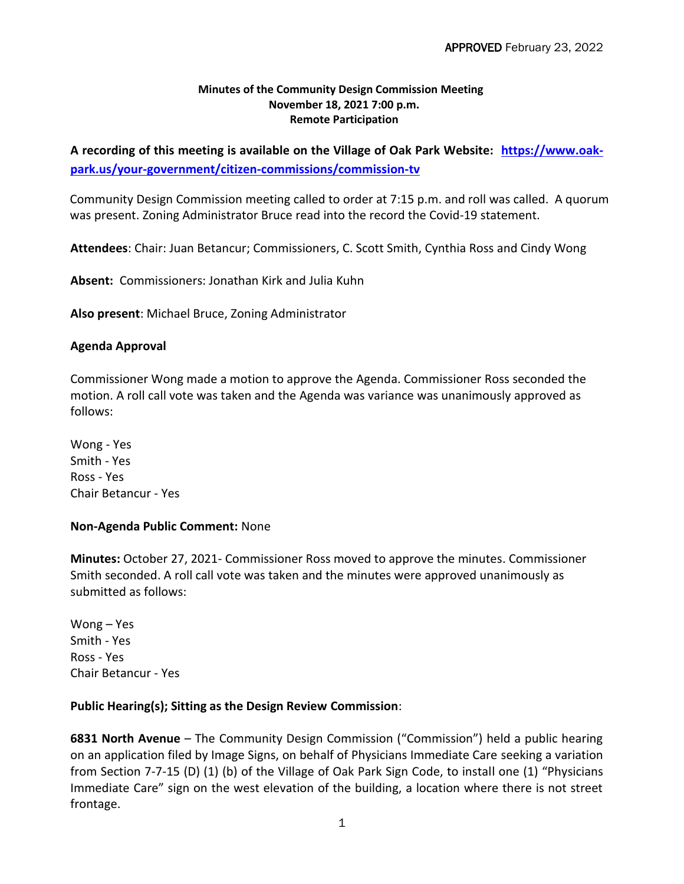## **Minutes of the Community Design Commission Meeting November 18, 2021 7:00 p.m. Remote Participation**

**A recording of this meeting is available on the Village of Oak Park Website: [https://www.oak](https://www.oak-park.us/your-government/citizen-commissions/commission-tv)[park.us/your-government/citizen-commissions/commission-tv](https://www.oak-park.us/your-government/citizen-commissions/commission-tv)**

Community Design Commission meeting called to order at 7:15 p.m. and roll was called. A quorum was present. Zoning Administrator Bruce read into the record the Covid-19 statement.

**Attendees**: Chair: Juan Betancur; Commissioners, C. Scott Smith, Cynthia Ross and Cindy Wong

**Absent:** Commissioners: Jonathan Kirk and Julia Kuhn

**Also present**: Michael Bruce, Zoning Administrator

## **Agenda Approval**

Commissioner Wong made a motion to approve the Agenda. Commissioner Ross seconded the motion. A roll call vote was taken and the Agenda was variance was unanimously approved as follows:

Wong - Yes Smith - Yes Ross - Yes Chair Betancur - Yes

## **Non-Agenda Public Comment:** None

**Minutes:** October 27, 2021- Commissioner Ross moved to approve the minutes. Commissioner Smith seconded. A roll call vote was taken and the minutes were approved unanimously as submitted as follows:

Wong – Yes Smith - Yes Ross - Yes Chair Betancur - Yes

## **Public Hearing(s); Sitting as the Design Review Commission**:

**6831 North Avenue** – The Community Design Commission ("Commission") held a public hearing on an application filed by Image Signs, on behalf of Physicians Immediate Care seeking a variation from Section 7-7-15 (D) (1) (b) of the Village of Oak Park Sign Code, to install one (1) "Physicians Immediate Care" sign on the west elevation of the building, a location where there is not street frontage.